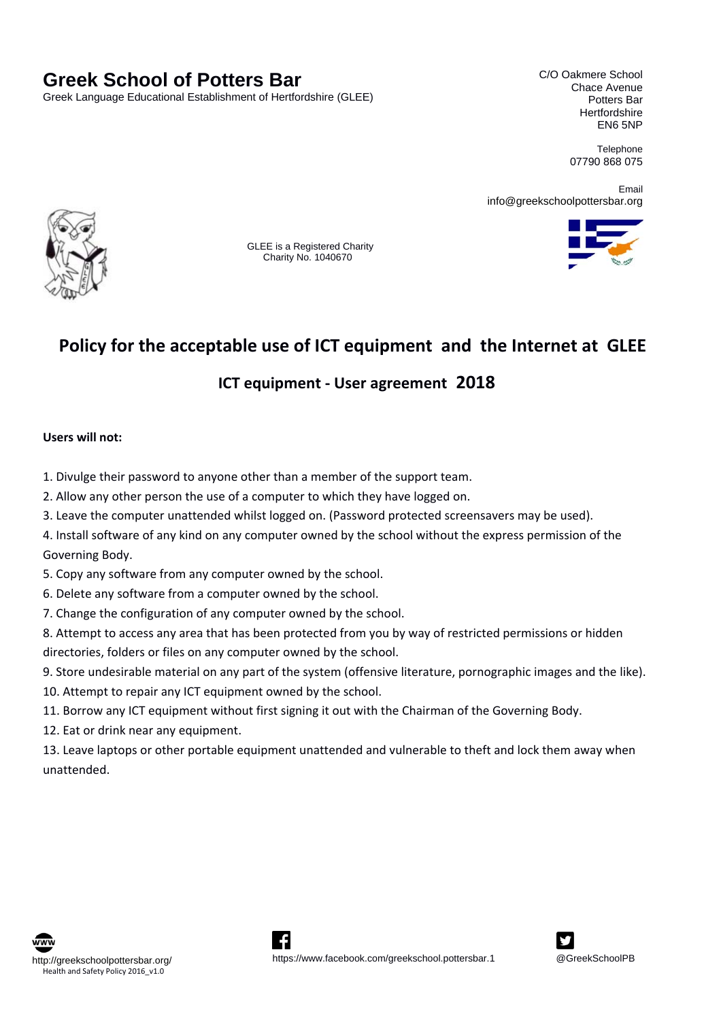# **Greek School of Potters Bar**

Greek Language Educational Establishment of Hertfordshire (GLEE)

C/O Oakmere School Chace Avenue Potters Bar **Hertfordshire** EN6 5NP

> **Telephone** 07790 868 075

Email info@greekschoolpottersbar.org



 GLEE is a Registered Charity Charity No. 1040670



# **Policy for the acceptable use of ICT equipment and the Internet at GLEE**

# **ICT equipment ‐ User agreement 2018**

#### **Users will not:**

- 1. Divulge their password to anyone other than a member of the support team.
- 2. Allow any other person the use of a computer to which they have logged on.
- 3. Leave the computer unattended whilst logged on. (Password protected screensavers may be used).
- 4. Install software of any kind on any computer owned by the school without the express permission of the Governing Body.
- 5. Copy any software from any computer owned by the school.
- 6. Delete any software from a computer owned by the school.
- 7. Change the configuration of any computer owned by the school.
- 8. Attempt to access any area that has been protected from you by way of restricted permissions or hidden directories, folders or files on any computer owned by the school.
- 9. Store undesirable material on any part of the system (offensive literature, pornographic images and the like).
- 10. Attempt to repair any ICT equipment owned by the school.
- 11. Borrow any ICT equipment without first signing it out with the Chairman of the Governing Body.
- 12. Eat or drink near any equipment.
- 13. Leave laptops or other portable equipment unattended and vulnerable to theft and lock them away when unattended.





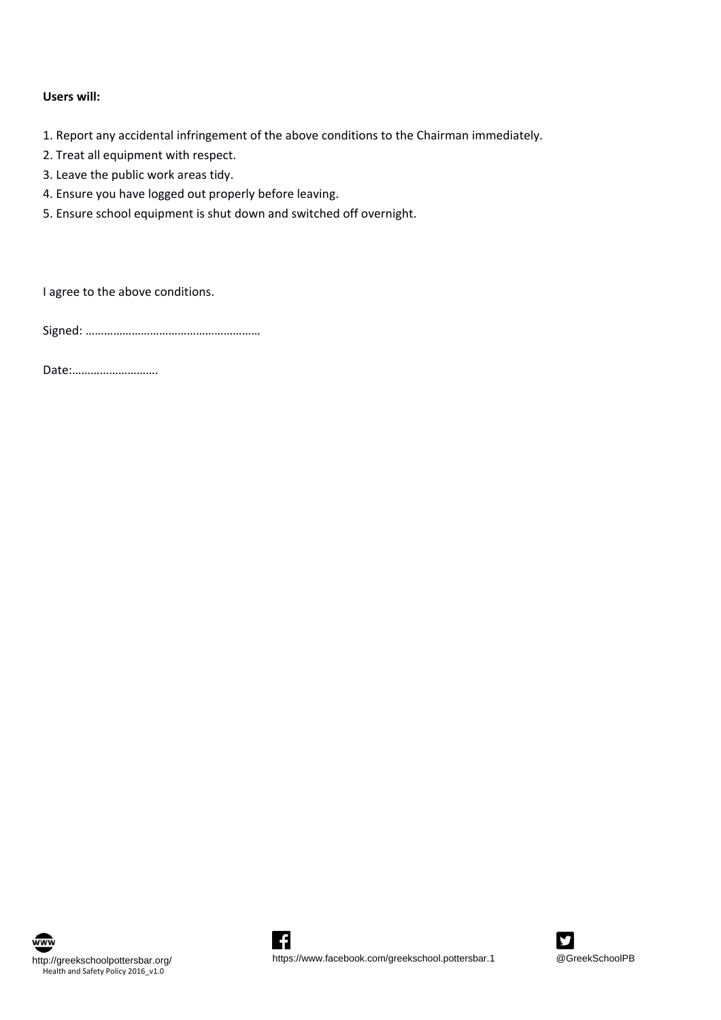## **Users will:**

1. Report any accidental infringement of the above conditions to the Chairman immediately.

- 2. Treat all equipment with respect.
- 3. Leave the public work areas tidy.
- 4. Ensure you have logged out properly before leaving.
- 5. Ensure school equipment is shut down and switched off overnight.

I agree to the above conditions.

Signed: …………………………………………………

Date:……………………….